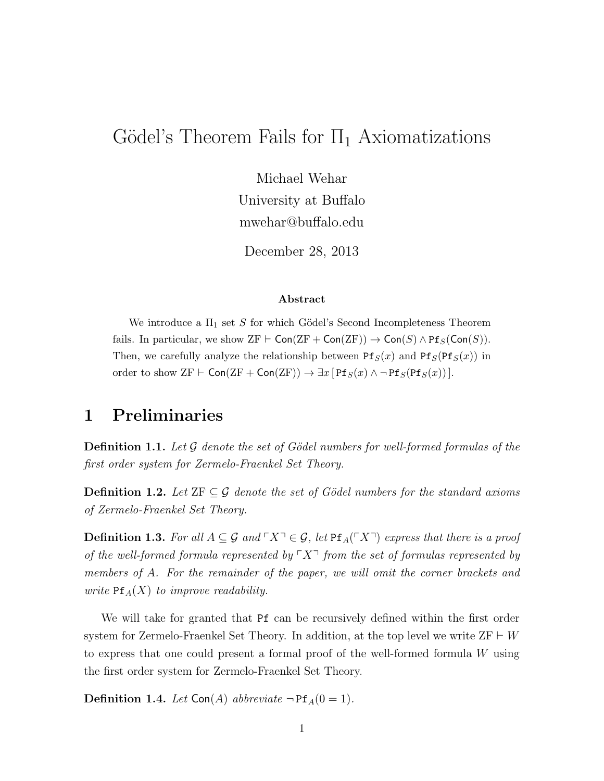# Gödel's Theorem Fails for  $\Pi_1$  Axiomatizations

Michael Wehar University at Buffalo mwehar@buffalo.edu

December 28, 2013

#### Abstract

We introduce a  $\Pi_1$  set S for which Gödel's Second Incompleteness Theorem fails. In particular, we show  $ZF \vdash \mathsf{Con}(ZF + \mathsf{Con}(ZF)) \to \mathsf{Con}(S) \wedge \mathsf{Pf}_S(\mathsf{Con}(S)).$ Then, we carefully analyze the relationship between  $Pf_S(x)$  and  $Pf_S(Pf_S(x))$  in order to show  $ZF \vdash \mathsf{Con}(\mathrm{ZF} + \mathsf{Con}(\mathrm{ZF})) \to \exists x [\mathsf{Pf}_S(x) \land \neg \mathsf{Pf}_S(\mathsf{Pf}_S(x))].$ 

### 1 Preliminaries

**Definition 1.1.** Let  $\mathcal G$  denote the set of Gödel numbers for well-formed formulas of the first order system for Zermelo-Fraenkel Set Theory.

**Definition 1.2.** Let  $ZF \subseteq \mathcal{G}$  denote the set of Gödel numbers for the standard axioms of Zermelo-Fraenkel Set Theory.

**Definition 1.3.** For all  $A \subseteq \mathcal{G}$  and  $\ulcorner X \urcorner \in \mathcal{G}$ , let  $\text{Pf}_A(\ulcorner X \urcorner)$  express that there is a proof of the well-formed formula represented by  $\ulcorner X\urcorner$  from the set of formulas represented by members of A. For the remainder of the paper, we will omit the corner brackets and write  $Pf_A(X)$  to improve readability.

We will take for granted that Pf can be recursively defined within the first order system for Zermelo-Fraenkel Set Theory. In addition, at the top level we write  $ZF \vdash W$ to express that one could present a formal proof of the well-formed formula W using the first order system for Zermelo-Fraenkel Set Theory.

**Definition 1.4.** Let Con(A) abbreviate  $\neg$ Pf<sub>A</sub>(0 = 1).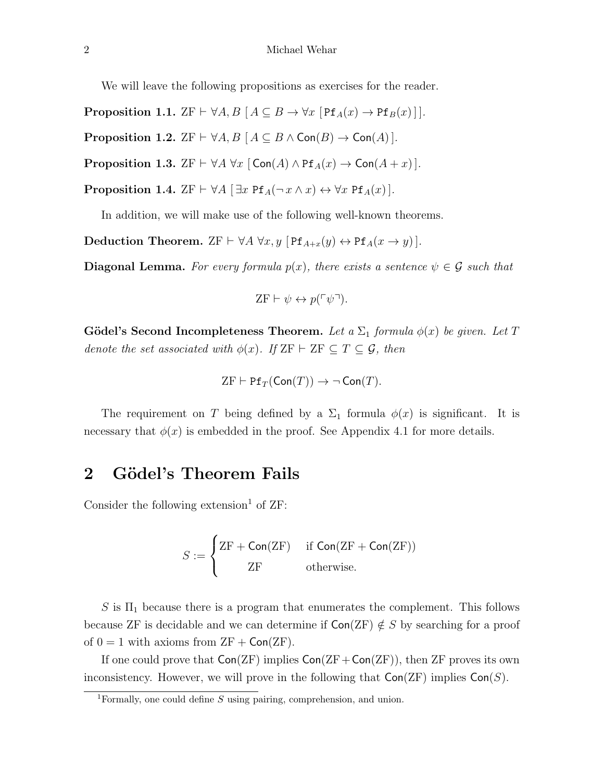We will leave the following propositions as exercises for the reader.

**Proposition 1.1.** ZF  $\vdash \forall A, B \ [A \subseteq B \rightarrow \forall x \ [\text{Pf}_A(x) \rightarrow \text{Pf}_B(x)]$ .

**Proposition 1.2.**  $\text{ZF} \vdash \forall A, B \ [A \subseteq B \land \text{Con}(B) \rightarrow \text{Con}(A)].$ 

**Proposition 1.3.**  $ZF \vdash \forall A \forall x [\text{Con}(A) \land \text{Pf}_A(x) \rightarrow \text{Con}(A+x)].$ 

**Proposition 1.4.** ZF  $\vdash \forall A [\exists x \text{ Pf}_A(\neg x \land x) \leftrightarrow \forall x \text{ Pf}_A(x)].$ 

In addition, we will make use of the following well-known theorems.

Deduction Theorem. ZF  $\vdash \forall A \ \forall x, y \ [\text{Pf}_{A+x}(y) \leftrightarrow \text{Pf}_{A}(x \rightarrow y)].$ 

**Diagonal Lemma.** For every formula  $p(x)$ , there exists a sentence  $\psi \in \mathcal{G}$  such that

$$
\text{ZF} \vdash \psi \leftrightarrow p(\ulcorner \psi \urcorner).
$$

Gödel's Second Incompleteness Theorem. Let a  $\Sigma_1$  formula  $\phi(x)$  be given. Let T denote the set associated with  $\phi(x)$ . If  $ZF \vdash ZF \subseteq T \subseteq \mathcal{G}$ , then

$$
\mathrm{ZF} \vdash \mathrm{Pf}_T(\mathrm{Con}(T)) \to \neg \, \mathrm{Con}(T).
$$

The requirement on T being defined by a  $\Sigma_1$  formula  $\phi(x)$  is significant. It is necessary that  $\phi(x)$  is embedded in the proof. See Appendix 4.1 for more details.

## 2 Gödel's Theorem Fails

Consider the following extension<sup>1</sup> of  $ZF$ :

$$
S := \begin{cases} ZF + \mathsf{Con}(ZF) & \text{if } \mathsf{Con}(ZF + \mathsf{Con}(ZF)) \\ ZF & \text{otherwise.} \end{cases}
$$

S is  $\Pi_1$  because there is a program that enumerates the complement. This follows because ZF is decidable and we can determine if  $Con(ZF) \notin S$  by searching for a proof of  $0 = 1$  with axioms from  $ZF + \text{Con(ZF)}$ .

If one could prove that  $Con(ZF)$  implies  $Con(ZF+Con(ZF))$ , then ZF proves its own inconsistency. However, we will prove in the following that  $Con(ZF)$  implies  $Con(S)$ .

<sup>&</sup>lt;sup>1</sup>Formally, one could define  $S$  using pairing, comprehension, and union.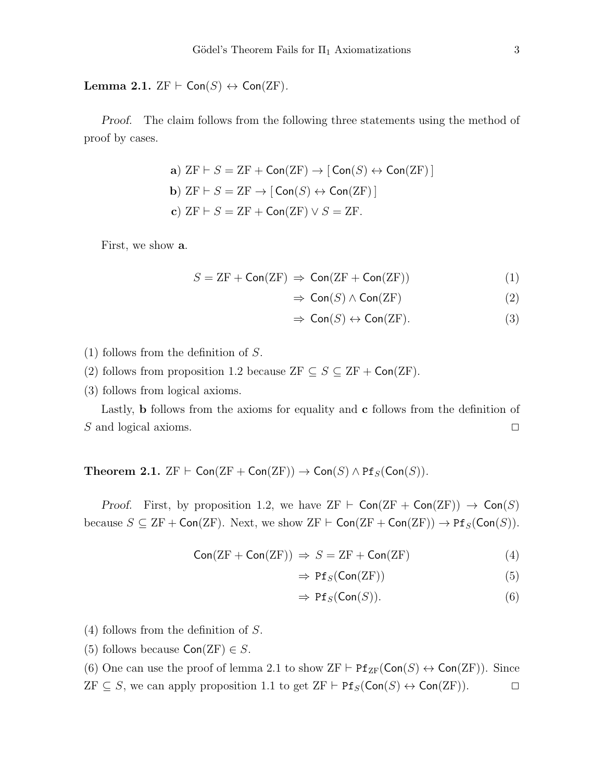Lemma 2.1.  $ZF \vdash Con(S) \leftrightarrow Con(ZF)$ .

Proof. The claim follows from the following three statements using the method of proof by cases.

\n- a) 
$$
ZF \vdash S = ZF + \text{Con}(ZF) \rightarrow [\text{Con}(S) \leftrightarrow \text{Con}(ZF)]
$$
\n- b)  $ZF \vdash S = ZF \rightarrow [\text{Con}(S) \leftrightarrow \text{Con}(ZF)]$
\n- c)  $ZF \vdash S = ZF + \text{Con}(ZF) \vee S = ZF$
\n

First, we show a.

$$
S = ZF + \text{Con}(ZF) \Rightarrow \text{Con}(ZF + \text{Con}(ZF)) \tag{1}
$$

$$
\Rightarrow \text{Con}(S) \land \text{Con}(ZF) \tag{2}
$$

$$
\Rightarrow \text{Con}(S) \leftrightarrow \text{Con}(ZF). \tag{3}
$$

- (1) follows from the definition of S.
- (2) follows from proposition 1.2 because  $ZF \subseteq S \subseteq ZF + \textsf{Con}(ZF)$ .
- (3) follows from logical axioms.

Lastly, b follows from the axioms for equality and c follows from the definition of S and logical axioms.  $\Box$ 

Theorem 2.1.  $ZF \vdash \textsf{Con}(ZF + \textsf{Con}(ZF)) \to \textsf{Con}(S) \wedge \text{Pf}_S(\textsf{Con}(S)).$ 

Proof. First, by proposition 1.2, we have  $ZF \vdash Con(ZF + Con(ZF)) \rightarrow Con(S)$ because  $S \subseteq \text{ZF} + \text{Con}(\text{ZF})$ . Next, we show  $\text{ZF} \vdash \text{Con}(\text{ZF} + \text{Con}(\text{ZF})) \rightarrow \text{Pf}_S(\text{Con}(S))$ .

$$
Con(ZF + Con(ZF)) \Rightarrow S = ZF + Con(ZF)
$$
 (4)

$$
\Rightarrow Pf_S(\text{Con}(ZF)) \tag{5}
$$

$$
\Rightarrow Pf_S(\text{Con}(S)). \tag{6}
$$

(4) follows from the definition of S.

(5) follows because  $Con(ZF) \in S$ .

(6) One can use the proof of lemma 2.1 to show  $ZF \vdash Pf_{ZF}(\text{Con}(S) \leftrightarrow \text{Con}(ZF))$ . Since  $ZF \subseteq S$ , we can apply proposition 1.1 to get  $ZF \vdash Pf_S(\text{Con}(S) \leftrightarrow \text{Con}(ZF)).$   $\Box$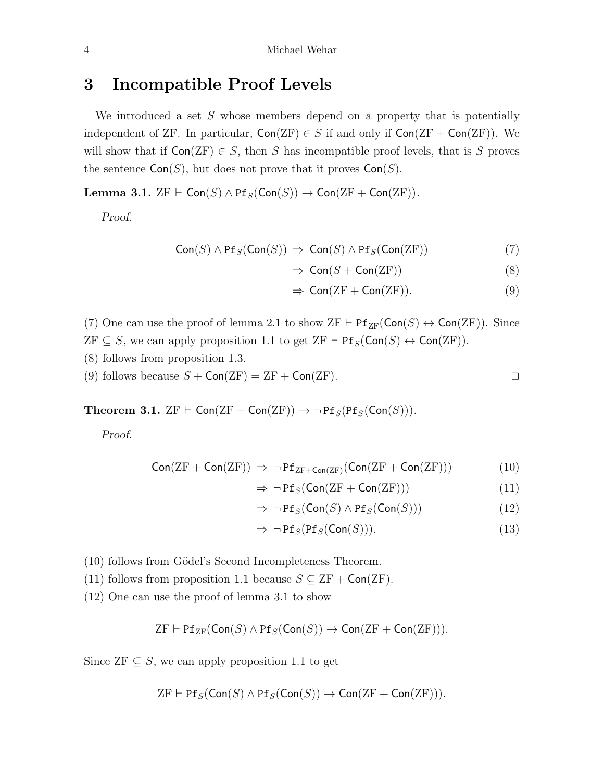### 3 Incompatible Proof Levels

We introduced a set  $S$  whose members depend on a property that is potentially independent of ZF. In particular,  $Con(ZF) \in S$  if and only if  $Con(ZF + Con(ZF))$ . We will show that if  $Con(ZF) \in S$ , then S has incompatible proof levels, that is S proves the sentence  $Con(S)$ , but does not prove that it proves  $Con(S)$ .

Lemma 3.1.  $ZF \vdash \mathsf{Con}(S) \land \mathsf{Pf}_S(\mathsf{Con}(S)) \to \mathsf{Con}(ZF + \mathsf{Con}(ZF)).$ 

Proof.

$$
Con(S) \land Pf_S(Con(S)) \Rightarrow Con(S) \land Pf_S(Con(ZF))
$$
\n(7)

$$
\Rightarrow \text{Con}(S + \text{Con}(ZF)) \tag{8}
$$

$$
\Rightarrow \text{Con}(\text{ZF} + \text{Con}(\text{ZF})). \tag{9}
$$

(7) One can use the proof of lemma 2.1 to show  $ZF \vdash Pf_{ZF}(\textsf{Con}(S) \leftrightarrow \textsf{Con}(ZF))$ . Since  $ZF \subseteq S$ , we can apply proposition 1.1 to get  $ZF \vdash Pf_S(\text{Con}(S) \leftrightarrow \text{Con}(ZF)).$ 

- (8) follows from proposition 1.3.
- (9) follows because  $S + \text{Con}(ZF) = ZF + \text{Con}(ZF)$ .

Theorem 3.1.  $ZF \vdash \mathsf{Con}(\mathrm{ZF} + \mathsf{Con}(\mathrm{ZF})) \rightarrow \neg \mathsf{Pf}_S(\mathsf{Pf}_S(\mathsf{Con}(S))).$ 

Proof.

$$
Con(ZF + Con(ZF)) \Rightarrow \neg Pf_{ZF + Con(ZF)}(Con(ZF + Con(ZF)))
$$
 (10)

$$
\Rightarrow \neg \text{Pf}_S(\text{Con}(ZF + \text{Con}(ZF))) \tag{11}
$$

$$
\Rightarrow \neg \operatorname{Pf}_S(\operatorname{Con}(S) \land \operatorname{Pf}_S(\operatorname{Con}(S))) \tag{12}
$$

$$
\Rightarrow \neg \operatorname{Pf}_S(\operatorname{Pf}_S(\operatorname{Con}(S))).\tag{13}
$$

- (10) follows from Gödel's Second Incompleteness Theorem.
- (11) follows from proposition 1.1 because  $S \subseteq ZF + \text{Con}(ZF)$ .
- (12) One can use the proof of lemma 3.1 to show

$$
\mathrm{ZF} \vdash \mathrm{Pf}_{\mathrm{ZF}}(\mathsf{Con}(S) \wedge \mathrm{Pf}_S(\mathsf{Con}(S)) \to \mathsf{Con}(\mathrm{ZF} + \mathsf{Con}(\mathrm{ZF}))).
$$

Since  $ZF \subseteq S$ , we can apply proposition 1.1 to get

$$
\mathrm{ZF} \vdash \mathrm{Pf}_S(\mathsf{Con}(S) \land \mathrm{Pf}_S(\mathsf{Con}(S)) \to \mathsf{Con}(\mathrm{ZF} + \mathsf{Con}(\mathrm{ZF}))).
$$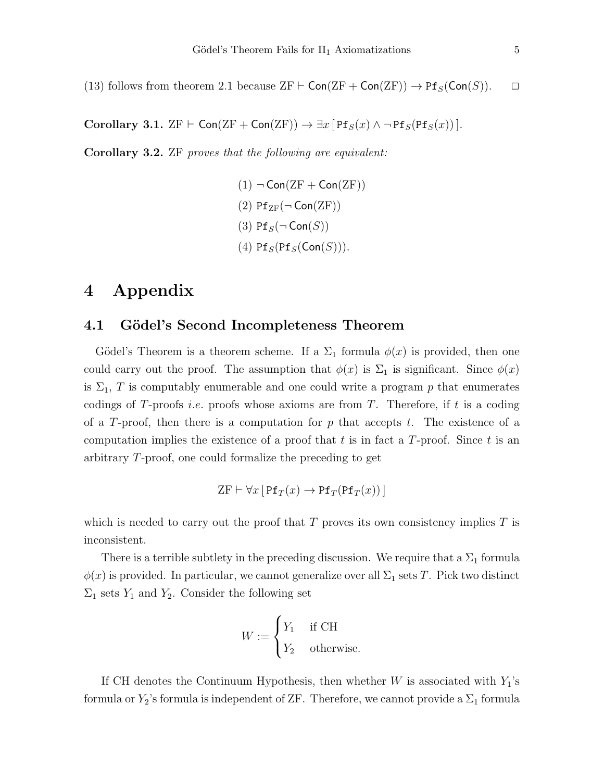(13) follows from theorem 2.1 because  $ZF \vdash \textsf{Con}(ZF + \textsf{Con}(ZF)) \rightarrow \text{Pf}_S(\textsf{Con}(S)). \quad \Box$ 

Corollary 3.1.  $ZF \vdash \textsf{Con}(\textsf{ZF} + \textsf{Con}(\textsf{ZF})) \rightarrow \exists x [\textsf{Pf}_S(x) \land \neg \textsf{Pf}_S(\textsf{Pf}_S(x))].$ 

Corollary 3.2. ZF proves that the following are equivalent:

 $(1)$   $\neg$  Con(ZF + Con(ZF)) (2)  $Pf_{ZF}(\neg \text{Con}(ZF))$ (3)  $Pf_S(\neg Con(S))$ (4)  $Pf_S(Pf_S(Con(S))).$ 

### 4 Appendix

#### 4.1 Gödel's Second Incompleteness Theorem

Gödel's Theorem is a theorem scheme. If a  $\Sigma_1$  formula  $\phi(x)$  is provided, then one could carry out the proof. The assumption that  $\phi(x)$  is  $\Sigma_1$  is significant. Since  $\phi(x)$ is  $\Sigma_1$ , T is computably enumerable and one could write a program p that enumerates codings of T-proofs *i.e.* proofs whose axioms are from T. Therefore, if t is a coding of a T-proof, then there is a computation for  $p$  that accepts  $t$ . The existence of a computation implies the existence of a proof that t is in fact a  $T$ -proof. Since t is an arbitrary T-proof, one could formalize the preceding to get

$$
ZF \vdash \forall x \, [\, \text{Pf}_T(x) \to \text{Pf}_T(\text{Pf}_T(x)) \, ]
$$

which is needed to carry out the proof that  $T$  proves its own consistency implies  $T$  is inconsistent.

There is a terrible subtlety in the preceding discussion. We require that a  $\Sigma_1$  formula  $\phi(x)$  is provided. In particular, we cannot generalize over all  $\Sigma_1$  sets T. Pick two distinct  $\Sigma_1$  sets  $Y_1$  and  $Y_2$ . Consider the following set

$$
W := \begin{cases} Y_1 & \text{if } \text{CH} \\ Y_2 & \text{otherwise.} \end{cases}
$$

If CH denotes the Continuum Hypothesis, then whether  $W$  is associated with  $Y_1$ 's formula or  $Y_2$ 's formula is independent of ZF. Therefore, we cannot provide a  $\Sigma_1$  formula